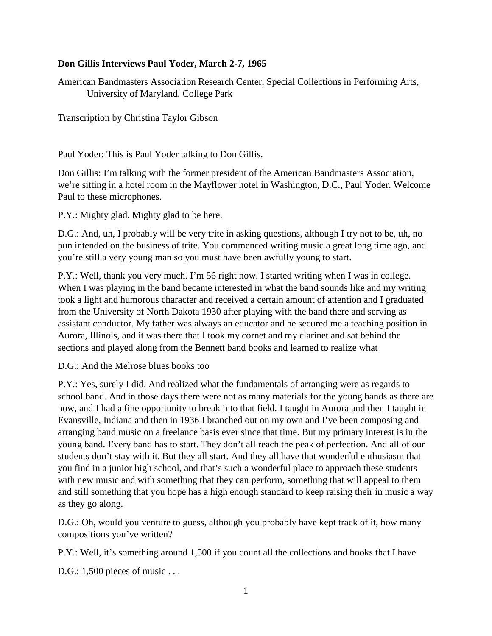## **Don Gillis Interviews Paul Yoder, March 2-7, 1965**

American Bandmasters Association Research Center, Special Collections in Performing Arts, University of Maryland, College Park

Transcription by Christina Taylor Gibson

Paul Yoder: This is Paul Yoder talking to Don Gillis.

Don Gillis: I'm talking with the former president of the American Bandmasters Association, we're sitting in a hotel room in the Mayflower hotel in Washington, D.C., Paul Yoder. Welcome Paul to these microphones.

P.Y.: Mighty glad. Mighty glad to be here.

D.G.: And, uh, I probably will be very trite in asking questions, although I try not to be, uh, no pun intended on the business of trite. You commenced writing music a great long time ago, and you're still a very young man so you must have been awfully young to start.

P.Y.: Well, thank you very much. I'm 56 right now. I started writing when I was in college. When I was playing in the band became interested in what the band sounds like and my writing took a light and humorous character and received a certain amount of attention and I graduated from the University of North Dakota 1930 after playing with the band there and serving as assistant conductor. My father was always an educator and he secured me a teaching position in Aurora, Illinois, and it was there that I took my cornet and my clarinet and sat behind the sections and played along from the Bennett band books and learned to realize what

D.G.: And the Melrose blues books too

P.Y.: Yes, surely I did. And realized what the fundamentals of arranging were as regards to school band. And in those days there were not as many materials for the young bands as there are now, and I had a fine opportunity to break into that field. I taught in Aurora and then I taught in Evansville, Indiana and then in 1936 I branched out on my own and I've been composing and arranging band music on a freelance basis ever since that time. But my primary interest is in the young band. Every band has to start. They don't all reach the peak of perfection. And all of our students don't stay with it. But they all start. And they all have that wonderful enthusiasm that you find in a junior high school, and that's such a wonderful place to approach these students with new music and with something that they can perform, something that will appeal to them and still something that you hope has a high enough standard to keep raising their in music a way as they go along.

D.G.: Oh, would you venture to guess, although you probably have kept track of it, how many compositions you've written?

P.Y.: Well, it's something around 1,500 if you count all the collections and books that I have

D.G.: 1,500 pieces of music . . .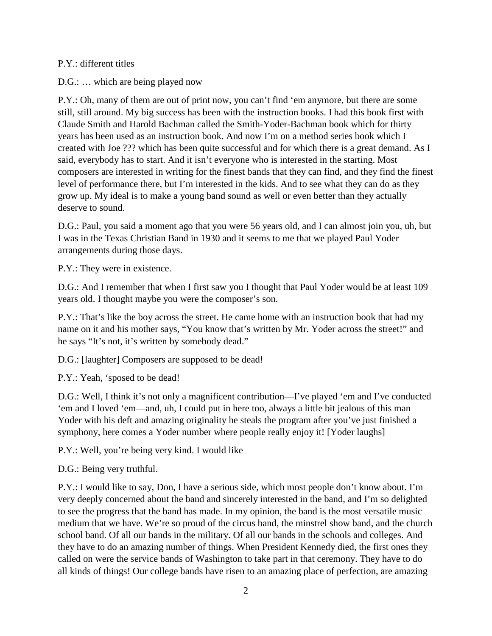## P.Y.: different titles

D.G.: ... which are being played now

P.Y.: Oh, many of them are out of print now, you can't find 'em anymore, but there are some still, still around. My big success has been with the instruction books. I had this book first with Claude Smith and Harold Bachman called the Smith-Yoder-Bachman book which for thirty years has been used as an instruction book. And now I'm on a method series book which I created with Joe ??? which has been quite successful and for which there is a great demand. As I said, everybody has to start. And it isn't everyone who is interested in the starting. Most composers are interested in writing for the finest bands that they can find, and they find the finest level of performance there, but I'm interested in the kids. And to see what they can do as they grow up. My ideal is to make a young band sound as well or even better than they actually deserve to sound.

D.G.: Paul, you said a moment ago that you were 56 years old, and I can almost join you, uh, but I was in the Texas Christian Band in 1930 and it seems to me that we played Paul Yoder arrangements during those days.

P.Y.: They were in existence.

D.G.: And I remember that when I first saw you I thought that Paul Yoder would be at least 109 years old. I thought maybe you were the composer's son.

P.Y.: That's like the boy across the street. He came home with an instruction book that had my name on it and his mother says, "You know that's written by Mr. Yoder across the street!" and he says "It's not, it's written by somebody dead."

D.G.: [laughter] Composers are supposed to be dead!

P.Y.: Yeah, 'sposed to be dead!

D.G.: Well, I think it's not only a magnificent contribution—I've played 'em and I've conducted 'em and I loved 'em—and, uh, I could put in here too, always a little bit jealous of this man Yoder with his deft and amazing originality he steals the program after you've just finished a symphony, here comes a Yoder number where people really enjoy it! [Yoder laughs]

P.Y.: Well, you're being very kind. I would like

D.G.: Being very truthful.

P.Y.: I would like to say, Don, I have a serious side, which most people don't know about. I'm very deeply concerned about the band and sincerely interested in the band, and I'm so delighted to see the progress that the band has made. In my opinion, the band is the most versatile music medium that we have. We're so proud of the circus band, the minstrel show band, and the church school band. Of all our bands in the military. Of all our bands in the schools and colleges. And they have to do an amazing number of things. When President Kennedy died, the first ones they called on were the service bands of Washington to take part in that ceremony. They have to do all kinds of things! Our college bands have risen to an amazing place of perfection, are amazing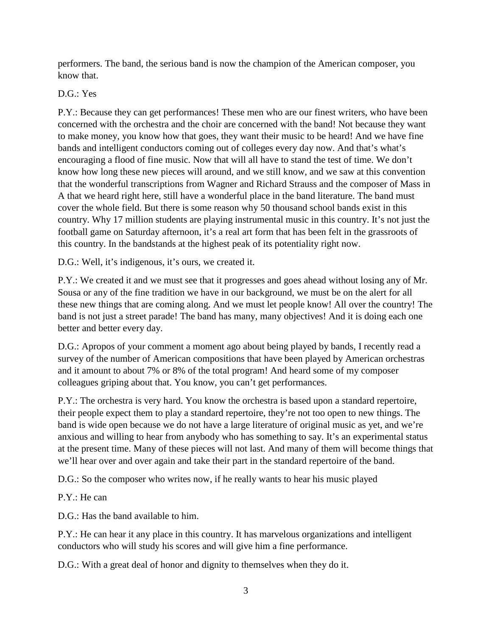performers. The band, the serious band is now the champion of the American composer, you know that.

## D.G.: Yes

P.Y.: Because they can get performances! These men who are our finest writers, who have been concerned with the orchestra and the choir are concerned with the band! Not because they want to make money, you know how that goes, they want their music to be heard! And we have fine bands and intelligent conductors coming out of colleges every day now. And that's what's encouraging a flood of fine music. Now that will all have to stand the test of time. We don't know how long these new pieces will around, and we still know, and we saw at this convention that the wonderful transcriptions from Wagner and Richard Strauss and the composer of Mass in A that we heard right here, still have a wonderful place in the band literature. The band must cover the whole field. But there is some reason why 50 thousand school bands exist in this country. Why 17 million students are playing instrumental music in this country. It's not just the football game on Saturday afternoon, it's a real art form that has been felt in the grassroots of this country. In the bandstands at the highest peak of its potentiality right now.

D.G.: Well, it's indigenous, it's ours, we created it.

P.Y.: We created it and we must see that it progresses and goes ahead without losing any of Mr. Sousa or any of the fine tradition we have in our background, we must be on the alert for all these new things that are coming along. And we must let people know! All over the country! The band is not just a street parade! The band has many, many objectives! And it is doing each one better and better every day.

D.G.: Apropos of your comment a moment ago about being played by bands, I recently read a survey of the number of American compositions that have been played by American orchestras and it amount to about 7% or 8% of the total program! And heard some of my composer colleagues griping about that. You know, you can't get performances.

P.Y.: The orchestra is very hard. You know the orchestra is based upon a standard repertoire, their people expect them to play a standard repertoire, they're not too open to new things. The band is wide open because we do not have a large literature of original music as yet, and we're anxious and willing to hear from anybody who has something to say. It's an experimental status at the present time. Many of these pieces will not last. And many of them will become things that we'll hear over and over again and take their part in the standard repertoire of the band.

D.G.: So the composer who writes now, if he really wants to hear his music played

P.Y.: He can

D.G.: Has the band available to him.

P.Y.: He can hear it any place in this country. It has marvelous organizations and intelligent conductors who will study his scores and will give him a fine performance.

D.G.: With a great deal of honor and dignity to themselves when they do it.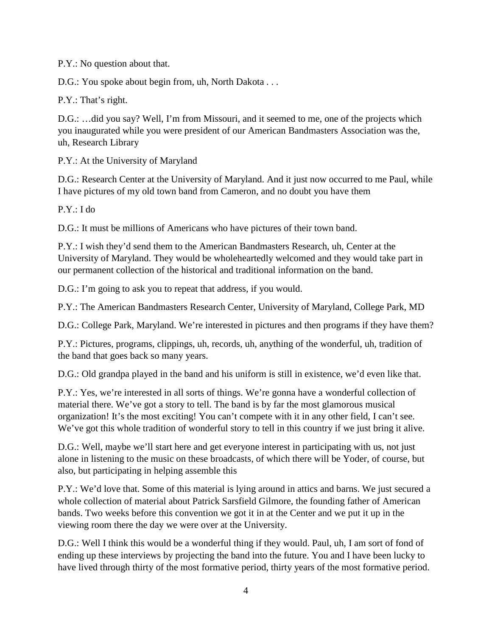P.Y.: No question about that.

D.G.: You spoke about begin from, uh, North Dakota . . .

P.Y.: That's right.

D.G.: …did you say? Well, I'm from Missouri, and it seemed to me, one of the projects which you inaugurated while you were president of our American Bandmasters Association was the, uh, Research Library

P.Y.: At the University of Maryland

D.G.: Research Center at the University of Maryland. And it just now occurred to me Paul, while I have pictures of my old town band from Cameron, and no doubt you have them

P.Y.: I do

D.G.: It must be millions of Americans who have pictures of their town band.

P.Y.: I wish they'd send them to the American Bandmasters Research, uh, Center at the University of Maryland. They would be wholeheartedly welcomed and they would take part in our permanent collection of the historical and traditional information on the band.

D.G.: I'm going to ask you to repeat that address, if you would.

P.Y.: The American Bandmasters Research Center, University of Maryland, College Park, MD

D.G.: College Park, Maryland. We're interested in pictures and then programs if they have them?

P.Y.: Pictures, programs, clippings, uh, records, uh, anything of the wonderful, uh, tradition of the band that goes back so many years.

D.G.: Old grandpa played in the band and his uniform is still in existence, we'd even like that.

P.Y.: Yes, we're interested in all sorts of things. We're gonna have a wonderful collection of material there. We've got a story to tell. The band is by far the most glamorous musical organization! It's the most exciting! You can't compete with it in any other field, I can't see. We've got this whole tradition of wonderful story to tell in this country if we just bring it alive.

D.G.: Well, maybe we'll start here and get everyone interest in participating with us, not just alone in listening to the music on these broadcasts, of which there will be Yoder, of course, but also, but participating in helping assemble this

P.Y.: We'd love that. Some of this material is lying around in attics and barns. We just secured a whole collection of material about Patrick Sarsfield Gilmore, the founding father of American bands. Two weeks before this convention we got it in at the Center and we put it up in the viewing room there the day we were over at the University.

D.G.: Well I think this would be a wonderful thing if they would. Paul, uh, I am sort of fond of ending up these interviews by projecting the band into the future. You and I have been lucky to have lived through thirty of the most formative period, thirty years of the most formative period.